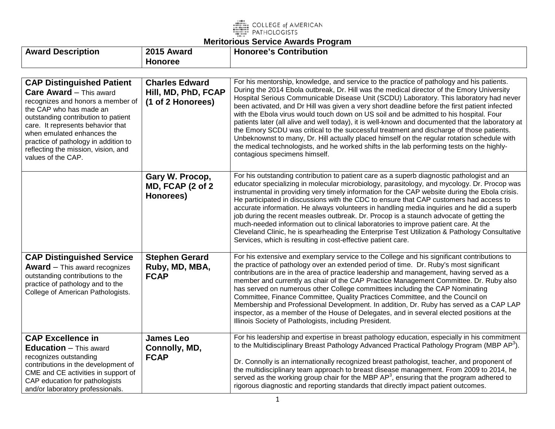

| <b>Award Description</b>                                                                                                                                                                                                                                                                                                                          | 2015 Award                                                        | <b>Honoree's Contribution</b>                                                                                                                                                                                                                                                                                                                                                                                                                                                                                                                                                                                                                                                                                                                                                                                                                                                                               |
|---------------------------------------------------------------------------------------------------------------------------------------------------------------------------------------------------------------------------------------------------------------------------------------------------------------------------------------------------|-------------------------------------------------------------------|-------------------------------------------------------------------------------------------------------------------------------------------------------------------------------------------------------------------------------------------------------------------------------------------------------------------------------------------------------------------------------------------------------------------------------------------------------------------------------------------------------------------------------------------------------------------------------------------------------------------------------------------------------------------------------------------------------------------------------------------------------------------------------------------------------------------------------------------------------------------------------------------------------------|
|                                                                                                                                                                                                                                                                                                                                                   | <b>Honoree</b>                                                    |                                                                                                                                                                                                                                                                                                                                                                                                                                                                                                                                                                                                                                                                                                                                                                                                                                                                                                             |
|                                                                                                                                                                                                                                                                                                                                                   |                                                                   |                                                                                                                                                                                                                                                                                                                                                                                                                                                                                                                                                                                                                                                                                                                                                                                                                                                                                                             |
| <b>CAP Distinguished Patient</b><br><b>Care Award</b> - This award<br>recognizes and honors a member of<br>the CAP who has made an<br>outstanding contribution to patient<br>care. It represents behavior that<br>when emulated enhances the<br>practice of pathology in addition to<br>reflecting the mission, vision, and<br>values of the CAP. | <b>Charles Edward</b><br>Hill, MD, PhD, FCAP<br>(1 of 2 Honorees) | For his mentorship, knowledge, and service to the practice of pathology and his patients.<br>During the 2014 Ebola outbreak, Dr. Hill was the medical director of the Emory University<br>Hospital Serious Communicable Disease Unit (SCDU) Laboratory. This laboratory had never<br>been activated, and Dr Hill was given a very short deadline before the first patient infected<br>with the Ebola virus would touch down on US soil and be admitted to his hospital. Four<br>patients later (all alive and well today), it is well-known and documented that the laboratory at<br>the Emory SCDU was critical to the successful treatment and discharge of those patients.<br>Unbeknownst to many, Dr. Hill actually placed himself on the regular rotation schedule with<br>the medical technologists, and he worked shifts in the lab performing tests on the highly-<br>contagious specimens himself. |
|                                                                                                                                                                                                                                                                                                                                                   | Gary W. Procop,<br>MD, FCAP (2 of 2)<br>Honorees)                 | For his outstanding contribution to patient care as a superb diagnostic pathologist and an<br>educator specializing in molecular microbiology, parasitology, and mycology. Dr. Procop was<br>instrumental in providing very timely information for the CAP website during the Ebola crisis.<br>He participated in discussions with the CDC to ensure that CAP customers had access to<br>accurate information. He always volunteers in handling media inquiries and he did a superb<br>job during the recent measles outbreak. Dr. Procop is a staunch advocate of getting the<br>much-needed information out to clinical laboratories to improve patient care. At the<br>Cleveland Clinic, he is spearheading the Enterprise Test Utilization & Pathology Consultative<br>Services, which is resulting in cost-effective patient care.                                                                     |
| <b>CAP Distinguished Service</b><br><b>Award</b> $-$ This award recognizes<br>outstanding contributions to the<br>practice of pathology and to the<br>College of American Pathologists.                                                                                                                                                           | <b>Stephen Gerard</b><br>Ruby, MD, MBA,<br><b>FCAP</b>            | For his extensive and exemplary service to the College and his significant contributions to<br>the practice of pathology over an extended period of time. Dr. Ruby's most significant<br>contributions are in the area of practice leadership and management, having served as a<br>member and currently as chair of the CAP Practice Management Committee. Dr. Ruby also<br>has served on numerous other College committees including the CAP Nominating<br>Committee, Finance Committee, Quality Practices Committee, and the Council on<br>Membership and Professional Development. In addition, Dr. Ruby has served as a CAP LAP<br>inspector, as a member of the House of Delegates, and in several elected positions at the<br>Illinois Society of Pathologists, including President.                                                                                                                 |
| <b>CAP Excellence in</b><br><b>Education</b> - This award<br>recognizes outstanding<br>contributions in the development of<br>CME and CE activities in support of<br>CAP education for pathologists<br>and/or laboratory professionals.                                                                                                           | <b>James Leo</b><br>Connolly, MD,<br><b>FCAP</b>                  | For his leadership and expertise in breast pathology education, especially in his commitment<br>to the Multidisciplinary Breast Pathology Advanced Practical Pathology Program (MBP AP <sup>3</sup> ).<br>Dr. Connolly is an internationally recognized breast pathologist, teacher, and proponent of<br>the multidisciplinary team approach to breast disease management. From 2009 to 2014, he<br>served as the working group chair for the MBP AP <sup>3</sup> , ensuring that the program adhered to<br>rigorous diagnostic and reporting standards that directly impact patient outcomes.                                                                                                                                                                                                                                                                                                              |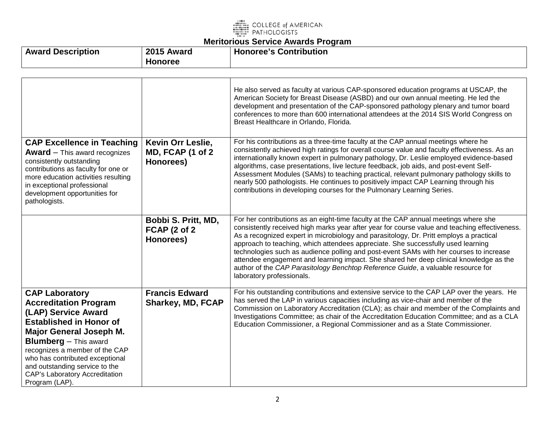

| 2015<br><b>Description</b><br>Award<br>Award<br>Honoree | <b>Honoree's Contribution</b> |
|---------------------------------------------------------|-------------------------------|
|---------------------------------------------------------|-------------------------------|

|                                                                                                                                                                                                                                                                                                                                                    |                                                         | He also served as faculty at various CAP-sponsored education programs at USCAP, the<br>American Society for Breast Disease (ASBD) and our own annual meeting. He led the<br>development and presentation of the CAP-sponsored pathology plenary and tumor board<br>conferences to more than 600 international attendees at the 2014 SIS World Congress on<br>Breast Healthcare in Orlando, Florida.                                                                                                                                                                                                                                                                     |
|----------------------------------------------------------------------------------------------------------------------------------------------------------------------------------------------------------------------------------------------------------------------------------------------------------------------------------------------------|---------------------------------------------------------|-------------------------------------------------------------------------------------------------------------------------------------------------------------------------------------------------------------------------------------------------------------------------------------------------------------------------------------------------------------------------------------------------------------------------------------------------------------------------------------------------------------------------------------------------------------------------------------------------------------------------------------------------------------------------|
| <b>CAP Excellence in Teaching</b><br><b>Award</b> $-$ This award recognizes<br>consistently outstanding<br>contributions as faculty for one or<br>more education activities resulting<br>in exceptional professional<br>development opportunities for<br>pathologists.                                                                             | Kevin Orr Leslie,<br>MD, FCAP (1 of 2<br>Honorees)      | For his contributions as a three-time faculty at the CAP annual meetings where he<br>consistently achieved high ratings for overall course value and faculty effectiveness. As an<br>internationally known expert in pulmonary pathology, Dr. Leslie employed evidence-based<br>algorithms, case presentations, live lecture feedback, job aids, and post-event Self-<br>Assessment Modules (SAMs) to teaching practical, relevant pulmonary pathology skills to<br>nearly 500 pathologists. He continues to positively impact CAP Learning through his<br>contributions in developing courses for the Pulmonary Learning Series.                                       |
|                                                                                                                                                                                                                                                                                                                                                    | Bobbi S. Pritt, MD,<br><b>FCAP (2 of 2</b><br>Honorees) | For her contributions as an eight-time faculty at the CAP annual meetings where she<br>consistently received high marks year after year for course value and teaching effectiveness.<br>As a recognized expert in microbiology and parasitology, Dr. Pritt employs a practical<br>approach to teaching, which attendees appreciate. She successfully used learning<br>technologies such as audience polling and post-event SAMs with her courses to increase<br>attendee engagement and learning impact. She shared her deep clinical knowledge as the<br>author of the CAP Parasitology Benchtop Reference Guide, a valuable resource for<br>laboratory professionals. |
| <b>CAP Laboratory</b><br><b>Accreditation Program</b><br>(LAP) Service Award<br><b>Established in Honor of</b><br><b>Major General Joseph M.</b><br><b>Blumberg</b> - This award<br>recognizes a member of the CAP<br>who has contributed exceptional<br>and outstanding service to the<br><b>CAP's Laboratory Accreditation</b><br>Program (LAP). | <b>Francis Edward</b><br><b>Sharkey, MD, FCAP</b>       | For his outstanding contributions and extensive service to the CAP LAP over the years. He<br>has served the LAP in various capacities including as vice-chair and member of the<br>Commission on Laboratory Accreditation (CLA); as chair and member of the Complaints and<br>Investigations Committee; as chair of the Accreditation Education Committee; and as a CLA<br>Education Commissioner, a Regional Commissioner and as a State Commissioner.                                                                                                                                                                                                                 |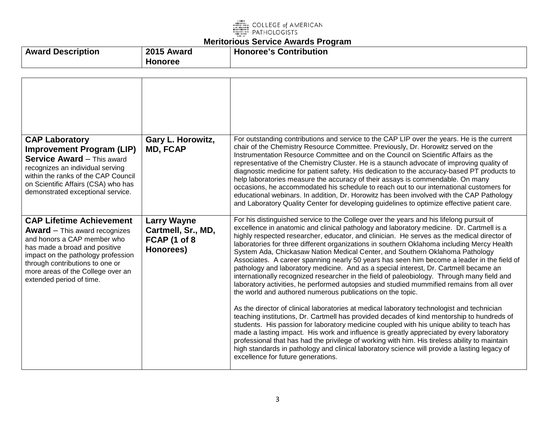

| <b>Award Description</b> | 2015<br>Award | <b>Honoree's Contribution</b> |
|--------------------------|---------------|-------------------------------|
|                          | Honoree       |                               |

| <b>CAP Laboratory</b><br><b>Improvement Program (LIP)</b><br><b>Service Award - This award</b><br>recognizes an individual serving<br>within the ranks of the CAP Council<br>on Scientific Affairs (CSA) who has<br>demonstrated exceptional service.                               | Gary L. Horowitz,<br><b>MD, FCAP</b>                                  | For outstanding contributions and service to the CAP LIP over the years. He is the current<br>chair of the Chemistry Resource Committee. Previously, Dr. Horowitz served on the<br>Instrumentation Resource Committee and on the Council on Scientific Affairs as the<br>representative of the Chemistry Cluster. He is a staunch advocate of improving quality of<br>diagnostic medicine for patient safety. His dedication to the accuracy-based PT products to<br>help laboratories measure the accuracy of their assays is commendable. On many<br>occasions, he accommodated his schedule to reach out to our international customers for<br>educational webinars. In addition, Dr. Horowitz has been involved with the CAP Pathology<br>and Laboratory Quality Center for developing guidelines to optimize effective patient care.                                                                                                                                                                                                                                                                                                                                                                                                                                                                                                                                                                                                                                                                                                   |
|-------------------------------------------------------------------------------------------------------------------------------------------------------------------------------------------------------------------------------------------------------------------------------------|-----------------------------------------------------------------------|---------------------------------------------------------------------------------------------------------------------------------------------------------------------------------------------------------------------------------------------------------------------------------------------------------------------------------------------------------------------------------------------------------------------------------------------------------------------------------------------------------------------------------------------------------------------------------------------------------------------------------------------------------------------------------------------------------------------------------------------------------------------------------------------------------------------------------------------------------------------------------------------------------------------------------------------------------------------------------------------------------------------------------------------------------------------------------------------------------------------------------------------------------------------------------------------------------------------------------------------------------------------------------------------------------------------------------------------------------------------------------------------------------------------------------------------------------------------------------------------------------------------------------------------|
| <b>CAP Lifetime Achievement</b><br><b>Award</b> $-$ This award recognizes<br>and honors a CAP member who<br>has made a broad and positive<br>impact on the pathology profession<br>through contributions to one or<br>more areas of the College over an<br>extended period of time. | <b>Larry Wayne</b><br>Cartmell, Sr., MD,<br>FCAP (1 of 8<br>Honorees) | For his distinguished service to the College over the years and his lifelong pursuit of<br>excellence in anatomic and clinical pathology and laboratory medicine. Dr. Cartmell is a<br>highly respected researcher, educator, and clinician. He serves as the medical director of<br>laboratories for three different organizations in southern Oklahoma including Mercy Health<br>System Ada, Chickasaw Nation Medical Center, and Southern Oklahoma Pathology<br>Associates. A career spanning nearly 50 years has seen him become a leader in the field of<br>pathology and laboratory medicine. And as a special interest, Dr. Cartmell became an<br>internationally recognized researcher in the field of paleobiology. Through many field and<br>laboratory activities, he performed autopsies and studied mummified remains from all over<br>the world and authored numerous publications on the topic.<br>As the director of clinical laboratories at medical laboratory technologist and technician<br>teaching institutions, Dr. Cartmell has provided decades of kind mentorship to hundreds of<br>students. His passion for laboratory medicine coupled with his unique ability to teach has<br>made a lasting impact. His work and influence is greatly appreciated by every laboratory<br>professional that has had the privilege of working with him. His tireless ability to maintain<br>high standards in pathology and clinical laboratory science will provide a lasting legacy of<br>excellence for future generations. |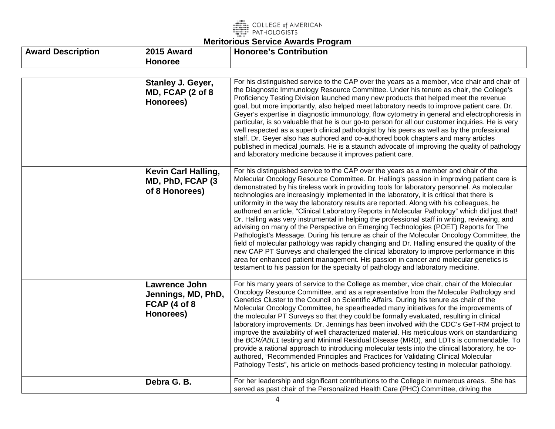

| <b>Award Description</b> | 2015 Award                                                       | <b>Honoree's Contribution</b>                                                                                                                                                                                                                                                                                                                                                                                                                                                                                                                                                                                                                                                                                                                                                                                                                                                                                                                                                                                                                                                                                                                                                                                                               |
|--------------------------|------------------------------------------------------------------|---------------------------------------------------------------------------------------------------------------------------------------------------------------------------------------------------------------------------------------------------------------------------------------------------------------------------------------------------------------------------------------------------------------------------------------------------------------------------------------------------------------------------------------------------------------------------------------------------------------------------------------------------------------------------------------------------------------------------------------------------------------------------------------------------------------------------------------------------------------------------------------------------------------------------------------------------------------------------------------------------------------------------------------------------------------------------------------------------------------------------------------------------------------------------------------------------------------------------------------------|
|                          | <b>Honoree</b>                                                   |                                                                                                                                                                                                                                                                                                                                                                                                                                                                                                                                                                                                                                                                                                                                                                                                                                                                                                                                                                                                                                                                                                                                                                                                                                             |
|                          | Stanley J. Geyer,<br>MD, FCAP (2 of 8<br>Honorees)               | For his distinguished service to the CAP over the years as a member, vice chair and chair of<br>the Diagnostic Immunology Resource Committee. Under his tenure as chair, the College's<br>Proficiency Testing Division launched many new products that helped meet the revenue<br>goal, but more importantly, also helped meet laboratory needs to improve patient care. Dr.<br>Geyer's expertise in diagnostic immunology, flow cytometry in general and electrophoresis in<br>particular, is so valuable that he is our go-to person for all our customer inquiries. He is very<br>well respected as a superb clinical pathologist by his peers as well as by the professional<br>staff. Dr. Geyer also has authored and co-authored book chapters and many articles<br>published in medical journals. He is a staunch advocate of improving the quality of pathology<br>and laboratory medicine because it improves patient care.                                                                                                                                                                                                                                                                                                        |
|                          | <b>Kevin Carl Halling,</b><br>MD, PhD, FCAP (3<br>of 8 Honorees) | For his distinguished service to the CAP over the years as a member and chair of the<br>Molecular Oncology Resource Committee. Dr. Halling's passion in improving patient care is<br>demonstrated by his tireless work in providing tools for laboratory personnel. As molecular<br>technologies are increasingly implemented in the laboratory, it is critical that there is<br>uniformity in the way the laboratory results are reported. Along with his colleagues, he<br>authored an article, "Clinical Laboratory Reports in Molecular Pathology" which did just that!<br>Dr. Halling was very instrumental in helping the professional staff in writing, reviewing, and<br>advising on many of the Perspective on Emerging Technologies (POET) Reports for The<br>Pathologist's Message. During his tenure as chair of the Molecular Oncology Committee, the<br>field of molecular pathology was rapidly changing and Dr. Halling ensured the quality of the<br>new CAP PT Surveys and challenged the clinical laboratory to improve performance in this<br>area for enhanced patient management. His passion in cancer and molecular genetics is<br>testament to his passion for the specialty of pathology and laboratory medicine. |
|                          | Lawrence John<br>Jennings, MD, PhD,<br>FCAP (4 of 8<br>Honorees) | For his many years of service to the College as member, vice chair, chair of the Molecular<br>Oncology Resource Committee, and as a representative from the Molecular Pathology and<br>Genetics Cluster to the Council on Scientific Affairs. During his tenure as chair of the<br>Molecular Oncology Committee, he spearheaded many initiatives for the improvements of<br>the molecular PT Surveys so that they could be formally evaluated, resulting in clinical<br>laboratory improvements. Dr. Jennings has been involved with the CDC's GeT-RM project to<br>improve the availability of well characterized material. His meticulous work on standardizing<br>the BCR/ABL1 testing and Minimal Residual Disease (MRD), and LDTs is commendable. To<br>provide a rational approach to introducing molecular tests into the clinical laboratory, he co-<br>authored, "Recommended Principles and Practices for Validating Clinical Molecular<br>Pathology Tests", his article on methods-based proficiency testing in molecular pathology.                                                                                                                                                                                             |
|                          | Debra G. B.                                                      | For her leadership and significant contributions to the College in numerous areas. She has<br>served as past chair of the Personalized Health Care (PHC) Committee, driving the                                                                                                                                                                                                                                                                                                                                                                                                                                                                                                                                                                                                                                                                                                                                                                                                                                                                                                                                                                                                                                                             |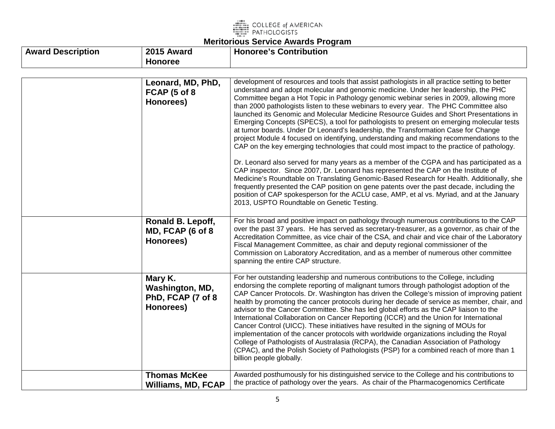

| <b>Award Description</b> | 2015 Award                                                    | <b>Honoree's Contribution</b>                                                                                                                                                                                                                                                                                                                                                                                                                                                                                                                                                                                                                                                                                                                                                                                                                                                                                                                                                                                                                                                                                                                                                                                                                                                                                                                                       |
|--------------------------|---------------------------------------------------------------|---------------------------------------------------------------------------------------------------------------------------------------------------------------------------------------------------------------------------------------------------------------------------------------------------------------------------------------------------------------------------------------------------------------------------------------------------------------------------------------------------------------------------------------------------------------------------------------------------------------------------------------------------------------------------------------------------------------------------------------------------------------------------------------------------------------------------------------------------------------------------------------------------------------------------------------------------------------------------------------------------------------------------------------------------------------------------------------------------------------------------------------------------------------------------------------------------------------------------------------------------------------------------------------------------------------------------------------------------------------------|
|                          | <b>Honoree</b>                                                |                                                                                                                                                                                                                                                                                                                                                                                                                                                                                                                                                                                                                                                                                                                                                                                                                                                                                                                                                                                                                                                                                                                                                                                                                                                                                                                                                                     |
|                          | Leonard, MD, PhD,<br>FCAP (5 of 8<br>Honorees)                | development of resources and tools that assist pathologists in all practice setting to better<br>understand and adopt molecular and genomic medicine. Under her leadership, the PHC<br>Committee began a Hot Topic in Pathology genomic webinar series in 2009, allowing more<br>than 2000 pathologists listen to these webinars to every year. The PHC Committee also<br>launched its Genomic and Molecular Medicine Resource Guides and Short Presentations in<br>Emerging Concepts (SPECS), a tool for pathologists to present on emerging molecular tests<br>at tumor boards. Under Dr Leonard's leadership, the Transformation Case for Change<br>project Module 4 focused on identifying, understanding and making recommendations to the<br>CAP on the key emerging technologies that could most impact to the practice of pathology.<br>Dr. Leonard also served for many years as a member of the CGPA and has participated as a<br>CAP inspector. Since 2007, Dr. Leonard has represented the CAP on the Institute of<br>Medicine's Roundtable on Translating Genomic-Based Research for Health. Additionally, she<br>frequently presented the CAP position on gene patents over the past decade, including the<br>position of CAP spokesperson for the ACLU case, AMP, et al vs. Myriad, and at the January<br>2013, USPTO Roundtable on Genetic Testing. |
|                          | Ronald B. Lepoff,<br>MD, FCAP (6 of 8<br>Honorees)            | For his broad and positive impact on pathology through numerous contributions to the CAP<br>over the past 37 years. He has served as secretary-treasurer, as a governor, as chair of the<br>Accreditation Committee, as vice chair of the CSA, and chair and vice chair of the Laboratory<br>Fiscal Management Committee, as chair and deputy regional commissioner of the<br>Commission on Laboratory Accreditation, and as a member of numerous other committee<br>spanning the entire CAP structure.                                                                                                                                                                                                                                                                                                                                                                                                                                                                                                                                                                                                                                                                                                                                                                                                                                                             |
|                          | Mary K.<br>Washington, MD,<br>PhD, FCAP (7 of 8)<br>Honorees) | For her outstanding leadership and numerous contributions to the College, including<br>endorsing the complete reporting of malignant tumors through pathologist adoption of the<br>CAP Cancer Protocols. Dr. Washington has driven the College's mission of improving patient<br>health by promoting the cancer protocols during her decade of service as member, chair, and<br>advisor to the Cancer Committee. She has led global efforts as the CAP liaison to the<br>International Collaboration on Cancer Reporting (ICCR) and the Union for International<br>Cancer Control (UICC). These initiatives have resulted in the signing of MOUs for<br>implementation of the cancer protocols with worldwide organizations including the Royal<br>College of Pathologists of Australasia (RCPA), the Canadian Association of Pathology<br>(CPAC), and the Polish Society of Pathologists (PSP) for a combined reach of more than 1<br>billion people globally.                                                                                                                                                                                                                                                                                                                                                                                                     |
|                          | <b>Thomas McKee</b><br><b>Williams, MD, FCAP</b>              | Awarded posthumously for his distinguished service to the College and his contributions to<br>the practice of pathology over the years. As chair of the Pharmacogenomics Certificate                                                                                                                                                                                                                                                                                                                                                                                                                                                                                                                                                                                                                                                                                                                                                                                                                                                                                                                                                                                                                                                                                                                                                                                |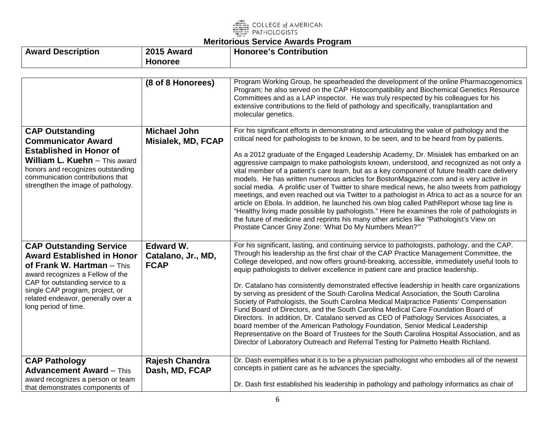

| <b>Award Description</b> | 2015<br><b>Award</b> | <b>Honoree's Contribution</b> |
|--------------------------|----------------------|-------------------------------|
|                          | <b>Honoree</b>       |                               |

|                                                                                                                                                                                                                                                                              | (8 of 8 Honorees)                                     | Program Working Group, he spearheaded the development of the online Pharmacogenomics                                                                                                                                                                                                                                                                                                                                                                                                                                                                                                                                                                                                                                                                                                                                                                                                                                                                                                                                                                                                                                           |
|------------------------------------------------------------------------------------------------------------------------------------------------------------------------------------------------------------------------------------------------------------------------------|-------------------------------------------------------|--------------------------------------------------------------------------------------------------------------------------------------------------------------------------------------------------------------------------------------------------------------------------------------------------------------------------------------------------------------------------------------------------------------------------------------------------------------------------------------------------------------------------------------------------------------------------------------------------------------------------------------------------------------------------------------------------------------------------------------------------------------------------------------------------------------------------------------------------------------------------------------------------------------------------------------------------------------------------------------------------------------------------------------------------------------------------------------------------------------------------------|
|                                                                                                                                                                                                                                                                              |                                                       | Program; he also served on the CAP Histocompatibility and Biochemical Genetics Resource<br>Committees and as a LAP inspector. He was truly respected by his colleagues for his<br>extensive contributions to the field of pathology and specifically, transplantation and<br>molecular genetics.                                                                                                                                                                                                                                                                                                                                                                                                                                                                                                                                                                                                                                                                                                                                                                                                                               |
| <b>CAP Outstanding</b><br><b>Communicator Award</b><br><b>Established in Honor of</b><br><b>William L. Kuehn</b> - This award<br>honors and recognizes outstanding<br>communication contributions that<br>strengthen the image of pathology.                                 | <b>Michael John</b><br>Misialek, MD, FCAP             | For his significant efforts in demonstrating and articulating the value of pathology and the<br>critical need for pathologists to be known, to be seen, and to be heard from by patients.<br>As a 2012 graduate of the Engaged Leadership Academy, Dr. Misialek has embarked on an<br>aggressive campaign to make pathologists known, understood, and recognized as not only a<br>vital member of a patient's care team, but as a key component of future health care delivery<br>models. He has written numerous articles for BostonMagazine.com and is very active in<br>social media. A prolific user of Twitter to share medical news, he also tweets from pathology<br>meetings, and even reached out via Twitter to a pathologist in Africa to act as a source for an<br>article on Ebola. In addition, he launched his own blog called PathReport whose tag line is<br>"Healthy living made possible by pathologists." Here he examines the role of pathologists in<br>the future of medicine and reprints his many other articles like "Pathologist's View on<br>Prostate Cancer Grey Zone: 'What Do My Numbers Mean?" |
| <b>CAP Outstanding Service</b><br><b>Award Established in Honor</b><br>of Frank W. Hartman $-$ This<br>award recognizes a Fellow of the<br>CAP for outstanding service to a<br>single CAP program, project, or<br>related endeavor, generally over a<br>long period of time. | <b>Edward W.</b><br>Catalano, Jr., MD,<br><b>FCAP</b> | For his significant, lasting, and continuing service to pathologists, pathology, and the CAP.<br>Through his leadership as the first chair of the CAP Practice Management Committee, the<br>College developed, and now offers ground-breaking, accessible, immediately useful tools to<br>equip pathologists to deliver excellence in patient care and practice leadership.<br>Dr. Catalano has consistently demonstrated effective leadership in health care organizations<br>by serving as president of the South Carolina Medical Association, the South Carolina<br>Society of Pathologists, the South Carolina Medical Malpractice Patients' Compensation<br>Fund Board of Directors, and the South Carolina Medical Care Foundation Board of<br>Directors. In addition, Dr. Catalano served as CEO of Pathology Services Associates, a<br>board member of the American Pathology Foundation, Senior Medical Leadership<br>Representative on the Board of Trustees for the South Carolina Hospital Association, and as<br>Director of Laboratory Outreach and Referral Testing for Palmetto Health Richland.              |
| <b>CAP Pathology</b><br><b>Advancement Award - This</b><br>award recognizes a person or team                                                                                                                                                                                 | Rajesh Chandra<br>Dash, MD, FCAP                      | Dr. Dash exemplifies what it is to be a physician pathologist who embodies all of the newest<br>concepts in patient care as he advances the specialty.                                                                                                                                                                                                                                                                                                                                                                                                                                                                                                                                                                                                                                                                                                                                                                                                                                                                                                                                                                         |
| that demonstrates components of                                                                                                                                                                                                                                              |                                                       | Dr. Dash first established his leadership in pathology and pathology informatics as chair of                                                                                                                                                                                                                                                                                                                                                                                                                                                                                                                                                                                                                                                                                                                                                                                                                                                                                                                                                                                                                                   |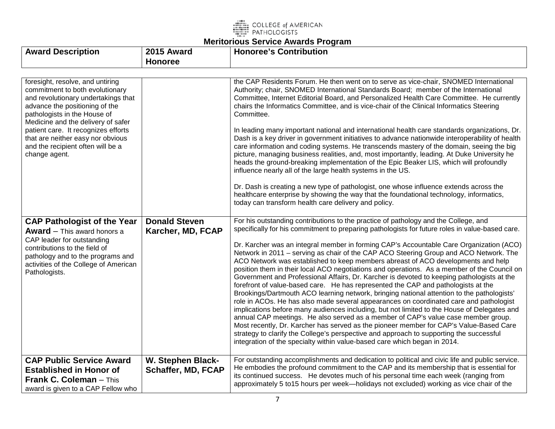

# **Meritorious Service Awards Program**

| <b>Award Description</b>                                                                                                                                                                                                                                                                                                                             | 2015 Award                                | <b>Honoree's Contribution</b>                                                                                                                                                                                                                                                                                                                                                                                                                                                                                                                                                                                                                                                                                                                                                                                                                                                                                                                                                                                                                                                                                                                                                                                                                                                                                                                                                                  |
|------------------------------------------------------------------------------------------------------------------------------------------------------------------------------------------------------------------------------------------------------------------------------------------------------------------------------------------------------|-------------------------------------------|------------------------------------------------------------------------------------------------------------------------------------------------------------------------------------------------------------------------------------------------------------------------------------------------------------------------------------------------------------------------------------------------------------------------------------------------------------------------------------------------------------------------------------------------------------------------------------------------------------------------------------------------------------------------------------------------------------------------------------------------------------------------------------------------------------------------------------------------------------------------------------------------------------------------------------------------------------------------------------------------------------------------------------------------------------------------------------------------------------------------------------------------------------------------------------------------------------------------------------------------------------------------------------------------------------------------------------------------------------------------------------------------|
|                                                                                                                                                                                                                                                                                                                                                      | <b>Honoree</b>                            |                                                                                                                                                                                                                                                                                                                                                                                                                                                                                                                                                                                                                                                                                                                                                                                                                                                                                                                                                                                                                                                                                                                                                                                                                                                                                                                                                                                                |
| foresight, resolve, and untiring<br>commitment to both evolutionary<br>and revolutionary undertakings that<br>advance the positioning of the<br>pathologists in the House of<br>Medicine and the delivery of safer<br>patient care. It recognizes efforts<br>that are neither easy nor obvious<br>and the recipient often will be a<br>change agent. |                                           | the CAP Residents Forum. He then went on to serve as vice-chair, SNOMED International<br>Authority; chair, SNOMED International Standards Board; member of the International<br>Committee, Internet Editorial Board, and Personalized Health Care Committee. He currently<br>chairs the Informatics Committee, and is vice-chair of the Clinical Informatics Steering<br>Committee.<br>In leading many important national and international health care standards organizations, Dr.<br>Dash is a key driver in government initiatives to advance nationwide interoperability of health<br>care information and coding systems. He transcends mastery of the domain, seeing the big<br>picture, managing business realities, and, most importantly, leading. At Duke University he<br>heads the ground-breaking implementation of the Epic Beaker LIS, which will profoundly<br>influence nearly all of the large health systems in the US.<br>Dr. Dash is creating a new type of pathologist, one whose influence extends across the<br>healthcare enterprise by showing the way that the foundational technology, informatics,                                                                                                                                                                                                                                                               |
|                                                                                                                                                                                                                                                                                                                                                      |                                           | today can transform health care delivery and policy.                                                                                                                                                                                                                                                                                                                                                                                                                                                                                                                                                                                                                                                                                                                                                                                                                                                                                                                                                                                                                                                                                                                                                                                                                                                                                                                                           |
| <b>CAP Pathologist of the Year</b><br><b>Award</b> $-$ This award honors a<br>CAP leader for outstanding<br>contributions to the field of<br>pathology and to the programs and<br>activities of the College of American<br>Pathologists.                                                                                                             | <b>Donald Steven</b><br>Karcher, MD, FCAP | For his outstanding contributions to the practice of pathology and the College, and<br>specifically for his commitment to preparing pathologists for future roles in value-based care.<br>Dr. Karcher was an integral member in forming CAP's Accountable Care Organization (ACO)<br>Network in 2011 – serving as chair of the CAP ACO Steering Group and ACO Network. The<br>ACO Network was established to keep members abreast of ACO developments and help<br>position them in their local ACO negotiations and operations. As a member of the Council on<br>Government and Professional Affairs, Dr. Karcher is devoted to keeping pathologists at the<br>forefront of value-based care. He has represented the CAP and pathologists at the<br>Brookings/Dartmouth ACO learning network, bringing national attention to the pathologists'<br>role in ACOs. He has also made several appearances on coordinated care and pathologist<br>implications before many audiences including, but not limited to the House of Delegates and<br>annual CAP meetings. He also served as a member of CAP's value case member group.<br>Most recently, Dr. Karcher has served as the pioneer member for CAP's Value-Based Care<br>strategy to clarify the College's perspective and approach to supporting the successful<br>integration of the specialty within value-based care which began in 2014. |
| <b>CAP Public Service Award</b><br><b>Established in Honor of</b><br>Frank C. Coleman - This<br>award is given to a CAP Fellow who                                                                                                                                                                                                                   | W. Stephen Black-<br>Schaffer, MD, FCAP   | For outstanding accomplishments and dedication to political and civic life and public service.<br>He embodies the profound commitment to the CAP and its membership that is essential for<br>its continued success. He devotes much of his personal time each week (ranging from<br>approximately 5 to 15 hours per week—holidays not excluded) working as vice chair of the                                                                                                                                                                                                                                                                                                                                                                                                                                                                                                                                                                                                                                                                                                                                                                                                                                                                                                                                                                                                                   |